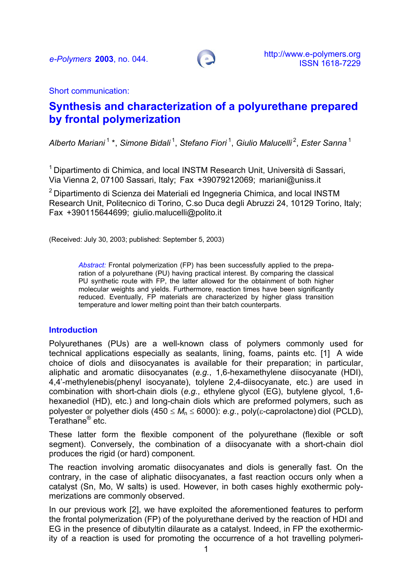

Short communication:

# **Synthesis and characterization of a polyurethane prepared by frontal polymerization**

*Alberto Mariani* 1 \*, *Simone Bidali* 1, *Stefano Fiori* 1, *Giulio Malucelli* 2, *Ester Sanna*<sup>1</sup>

<sup>1</sup> Dipartimento di Chimica, and local INSTM Research Unit, Università di Sassari, Via Vienna 2, 07100 Sassari, Italy; Fax +39079212069; [mariani@uniss.it](mailto:mariani@uniss.it)

<sup>2</sup> Dipartimento di Scienza dei Materiali ed Ingegneria Chimica, and local INSTM Research Unit, Politecnico di Torino, C.so Duca degli Abruzzi 24, 10129 Torino, Italy; Fax +390115644699; giulio.malucelli@polito.it

(Received: July 30, 2003; published: September 5, 2003)

*Abstract:* Frontal polymerization (FP) has been successfully applied to the preparation of a polyurethane (PU) having practical interest. By comparing the classical PU synthetic route with FP, the latter allowed for the obtainment of both higher molecular weights and yields. Furthermore, reaction times have been significantly reduced. Eventually, FP materials are characterized by higher glass transition temperature and lower melting point than their batch counterparts.

### **Introduction**

Polyurethanes (PUs) are a well-known class of polymers commonly used for technical applications especially as sealants, lining, foams, paints etc. [1] A wide choice of diols and diisocyanates is available for their preparation; in particular, aliphatic and aromatic diisocyanates (*e.g.*, 1,6-hexamethylene diisocyanate (HDI), 4,4'-methylenebis(phenyl isocyanate), tolylene 2,4-diisocyanate, etc.) are used in combination with short-chain diols (*e.g.*, ethylene glycol (EG), butylene glycol, 1,6 hexanediol (HD), etc.) and long-chain diols which are preformed polymers, such as polyester or polyether diols (450 ≤ *M*<sup>n</sup> ≤ 6000): *e.g.*, poly(ε-caprolactone) diol (PCLD), Terathane® etc.

These latter form the flexible component of the polyurethane (flexible or soft segment). Conversely, the combination of a diisocyanate with a short-chain diol produces the rigid (or hard) component.

The reaction involving aromatic diisocyanates and diols is generally fast. On the contrary, in the case of aliphatic diisocyanates, a fast reaction occurs only when a catalyst (Sn, Mo, W salts) is used. However, in both cases highly exothermic polymerizations are commonly observed.

In our previous work [2], we have exploited the aforementioned features to perform the frontal polymerization (FP) of the polyurethane derived by the reaction of HDI and EG in the presence of dibutyltin dilaurate as a catalyst. Indeed, in FP the exothermicity of a reaction is used for promoting the occurrence of a hot travelling polymeri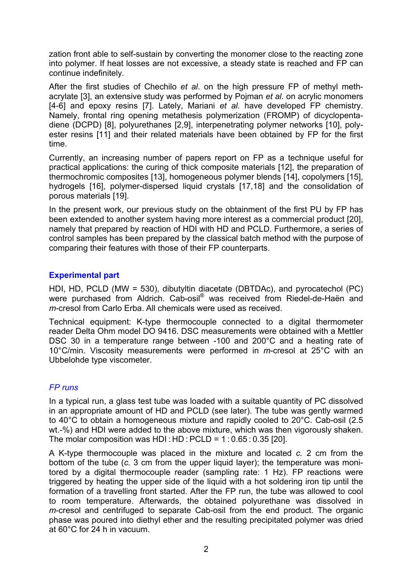zation front able to self-sustain by converting the monomer close to the reacting zone into polymer. If heat losses are not excessive, a steady state is reached and FP can continue indefinitely.

After the first studies of Chechilo *et al*. on the high pressure FP of methyl methacrylate [3], an extensive study was performed by Pojman *et al*. on acrylic monomers [4-6] and epoxy resins [7]. Lately, Mariani *et al*. have developed FP chemistry. Namely, frontal ring opening metathesis polymerization (FROMP) of dicyclopentadiene (DCPD) [8], polyurethanes [2,9], interpenetrating polymer networks [10], polyester resins [11] and their related materials have been obtained by FP for the first time.

Currently, an increasing number of papers report on FP as a technique useful for practical applications: the curing of thick composite materials [12], the preparation of thermochromic composites [13], homogeneous polymer blends [14], copolymers [15], hydrogels [16], polymer-dispersed liquid crystals [17,18] and the consolidation of porous materials [19].

In the present work, our previous study on the obtainment of the first PU by FP has been extended to another system having more interest as a commercial product [20], namely that prepared by reaction of HDI with HD and PCLD. Furthermore, a series of control samples has been prepared by the classical batch method with the purpose of comparing their features with those of their FP counterparts.

## **Experimental part**

HDI, HD, PCLD (MW = 530), dibutyltin diacetate (DBTDAc), and pyrocatechol (PC) were purchased from Aldrich. Cab-osil<sup>®</sup> was received from Riedel-de-Haën and *m*-cresol from Carlo Erba. All chemicals were used as received.

Technical equipment: K-type thermocouple connected to a digital thermometer reader Delta Ohm model DO 9416. DSC measurements were obtained with a Mettler DSC 30 in a temperature range between -100 and 200°C and a heating rate of 10°C/min. Viscosity measurements were performed in *m*-cresol at 25°C with an Ubbelohde type viscometer.

## *FP runs*

In a typical run, a glass test tube was loaded with a suitable quantity of PC dissolved in an appropriate amount of HD and PCLD (see later). The tube was gently warmed to 40°C to obtain a homogeneous mixture and rapidly cooled to 20°C. Cab-osil (2.5 wt.-%) and HDI were added to the above mixture, which was then vigorously shaken. The molar composition was HDI: HD:  $PCLD = 1:0.65:0.35$  [20].

A K-type thermocouple was placed in the mixture and located *c.* 2 cm from the bottom of the tube (*c.* 3 cm from the upper liquid layer); the temperature was monitored by a digital thermocouple reader (sampling rate: 1 Hz). FP reactions were triggered by heating the upper side of the liquid with a hot soldering iron tip until the formation of a travelling front started. After the FP run, the tube was allowed to cool to room temperature. Afterwards, the obtained polyurethane was dissolved in *m*-cresol and centrifuged to separate Cab-osil from the end product. The organic phase was poured into diethyl ether and the resulting precipitated polymer was dried at 60°C for 24 h in vacuum.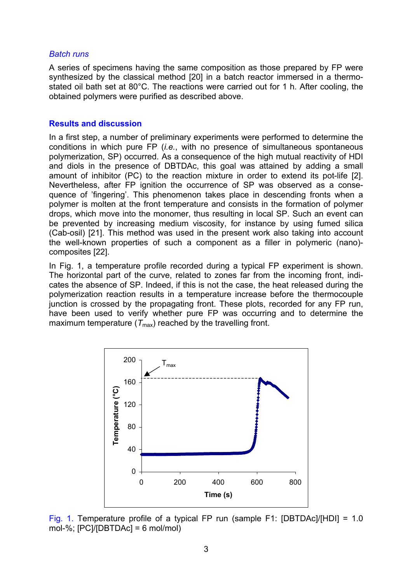#### *Batch runs*

A series of specimens having the same composition as those prepared by FP were synthesized by the classical method [20] in a batch reactor immersed in a thermostated oil bath set at 80°C. The reactions were carried out for 1 h. After cooling, the obtained polymers were purified as described above.

### **Results and discussion**

In a first step, a number of preliminary experiments were performed to determine the conditions in which pure FP (*i.e.*, with no presence of simultaneous spontaneous polymerization, SP) occurred. As a consequence of the high mutual reactivity of HDI and diols in the presence of DBTDAc, this goal was attained by adding a small amount of inhibitor (PC) to the reaction mixture in order to extend its pot-life [2]. Nevertheless, after FP ignition the occurrence of SP was observed as a consequence of 'fingering'. This phenomenon takes place in descending fronts when a polymer is molten at the front temperature and consists in the formation of polymer drops, which move into the monomer, thus resulting in local SP. Such an event can be prevented by increasing medium viscosity, for instance by using fumed silica (Cab-osil) [21]. This method was used in the present work also taking into account the well-known properties of such a component as a filler in polymeric (nano) composites [22].

In Fig. 1, a temperature profile recorded during a typical FP experiment is shown. The horizontal part of the curve, related to zones far from the incoming front, indicates the absence of SP. Indeed, if this is not the case, the heat released during the polymerization reaction results in a temperature increase before the thermocouple junction is crossed by the propagating front. These plots, recorded for any FP run, have been used to verify whether pure FP was occurring and to determine the maximum temperature  $(T_{\text{max}})$  reached by the travelling front.



Fig. 1. Temperature profile of a typical FP run (sample F1: [DBTDAc]/[HDI] = 1.0 mol-%; [PC]/[DBTDAc] = 6 mol/mol)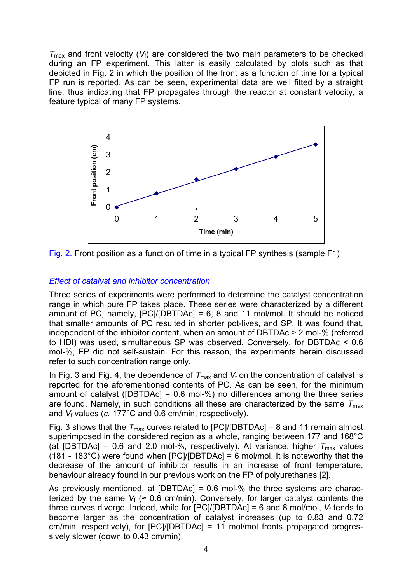$T_{\text{max}}$  and front velocity ( $V_f$ ) are considered the two main parameters to be checked during an FP experiment. This latter is easily calculated by plots such as that depicted in Fig. 2 in which the position of the front as a function of time for a typical FP run is reported. As can be seen, experimental data are well fitted by a straight line, thus indicating that FP propagates through the reactor at constant velocity, a feature typical of many FP systems.



Fig. 2. Front position as a function of time in a typical FP synthesis (sample F1)

## *Effect of catalyst and inhibitor concentration*

Three series of experiments were performed to determine the catalyst concentration range in which pure FP takes place. These series were characterized by a different amount of PC, namely,  $[PC]/[DBTDAC] = 6$ , 8 and 11 mol/mol. It should be noticed that smaller amounts of PC resulted in shorter pot-lives, and SP. It was found that, independent of the inhibitor content, when an amount of DBTDAc > 2 mol-% (referred to HDI) was used, simultaneous SP was observed. Conversely, for DBTDAc < 0.6 mol-%, FP did not self-sustain. For this reason, the experiments herein discussed refer to such concentration range only.

In Fig. 3 and Fig. 4, the dependence of  $T_{\text{max}}$  and  $V_f$  on the concentration of catalyst is reported for the aforementioned contents of PC. As can be seen, for the minimum amount of catalyst ([DBTDAc] = 0.6 mol-%) no differences among the three series are found. Namely, in such conditions all these are characterized by the same  $T_{\text{max}}$ and *V*f values (*c.* 177°C and 0.6 cm/min, respectively).

Fig. 3 shows that the  $T_{\text{max}}$  curves related to [PC]/[DBTDAc] = 8 and 11 remain almost superimposed in the considered region as a whole, ranging between 177 and 168°C (at [DBTDAc] = 0.6 and 2.0 mol-%, respectively). At variance, higher  $T_{\text{max}}$  values (181 - 183°C) were found when  $[PC]/[DBTDAC] = 6$  mol/mol. It is noteworthy that the decrease of the amount of inhibitor results in an increase of front temperature, behaviour already found in our previous work on the FP of polyurethanes [2].

As previously mentioned, at  $[DBTDAC] = 0.6$  mol-% the three systems are characterized by the same  $V_f$  ( $\approx$  0.6 cm/min). Conversely, for larger catalyst contents the three curves diverge. Indeed, while for  $[PC]/[DBTDAc] = 6$  and 8 mol/mol,  $V_f$  tends to become larger as the concentration of catalyst increases (up to 0.83 and 0.72 cm/min, respectively), for [PC]/[DBTDAc] = 11 mol/mol fronts propagated progressively slower (down to 0.43 cm/min).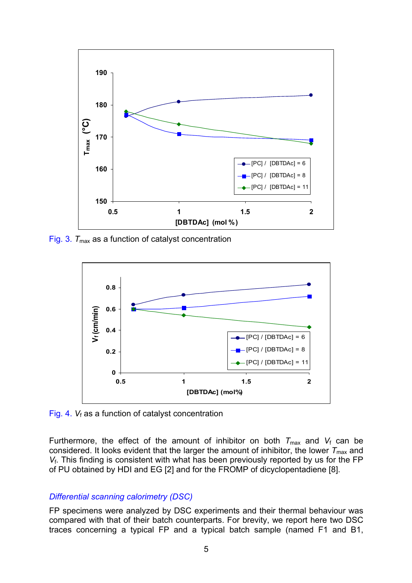

Fig. 3.  $T_{\text{max}}$  as a function of catalyst concentration



Fig. 4. *V<sub>f</sub>* as a function of catalyst concentration

Furthermore, the effect of the amount of inhibitor on both  $T_{\text{max}}$  and  $V_f$  can be considered. It looks evident that the larger the amount of inhibitor, the lower  $T_{\text{max}}$  and *V*f. This finding is consistent with what has been previously reported by us for the FP of PU obtained by HDI and EG [2] and for the FROMP of dicyclopentadiene [8].

## *Differential scanning calorimetry (DSC)*

FP specimens were analyzed by DSC experiments and their thermal behaviour was compared with that of their batch counterparts. For brevity, we report here two DSC traces concerning a typical FP and a typical batch sample (named F1 and B1,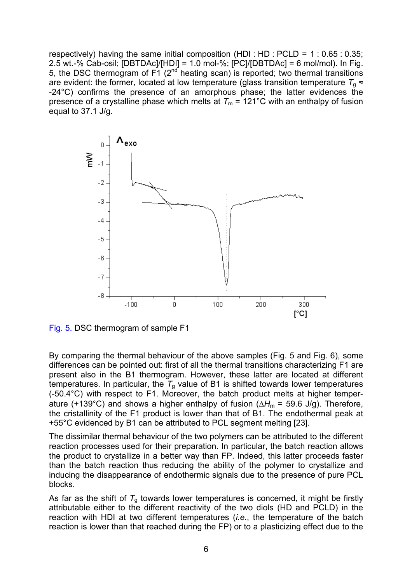respectively) having the same initial composition (HDI : HD : PCLD =  $1:0.65:0.35$ ; 2.5 wt.-% Cab-osil; [DBTDAc]/[HDI] = 1.0 mol-%; [PC]/[DBTDAc] = 6 mol/mol). In Fig. 5, the DSC thermogram of  $F1$  ( $2<sup>nd</sup>$  heating scan) is reported; two thermal transitions are evident: the former, located at low temperature (glass transition temperature  $T<sub>0</sub> \approx$ -24°C) confirms the presence of an amorphous phase; the latter evidences the presence of a crystalline phase which melts at  $T_m = 121^\circ \text{C}$  with an enthalpy of fusion equal to 37.1 J/g.



Fig. 5. DSC thermogram of sample F1

By comparing the thermal behaviour of the above samples (Fig. 5 and Fig. 6), some differences can be pointed out: first of all the thermal transitions characterizing F1 are present also in the B1 thermogram. However, these latter are located at different temperatures. In particular, the  $T<sub>g</sub>$  value of B1 is shifted towards lower temperatures (-50.4°C) with respect to F1. Moreover, the batch product melts at higher temperature (+139°C) and shows a higher enthalpy of fusion (∆*H*m = 59.6 J/g). Therefore, the cristallinity of the F1 product is lower than that of B1. The endothermal peak at +55°C evidenced by B1 can be attributed to PCL segment melting [23].

The dissimilar thermal behaviour of the two polymers can be attributed to the different reaction processes used for their preparation. In particular, the batch reaction allows the product to crystallize in a better way than FP. Indeed, this latter proceeds faster than the batch reaction thus reducing the ability of the polymer to crystallize and inducing the disappearance of endothermic signals due to the presence of pure PCL blocks.

As far as the shift of  $T_g$  towards lower temperatures is concerned, it might be firstly attributable either to the different reactivity of the two diols (HD and PCLD) in the reaction with HDI at two different temperatures (*i.e.*, the temperature of the batch reaction is lower than that reached during the FP) or to a plasticizing effect due to the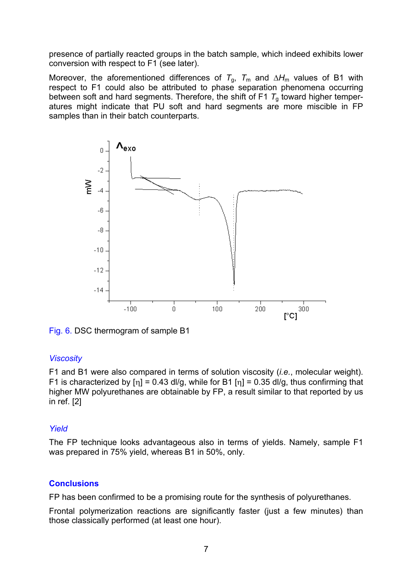presence of partially reacted groups in the batch sample, which indeed exhibits lower conversion with respect to F1 (see later).

Moreover, the aforementioned differences of *T*<sub>g</sub>, *T*<sub>m</sub> and ∆*H*<sub>m</sub> values of B1 with respect to F1 could also be attributed to phase separation phenomena occurring between soft and hard segments. Therefore, the shift of F1  $T<sub>g</sub>$  toward higher temperatures might indicate that PU soft and hard segments are more miscible in FP samples than in their batch counterparts.





## *Viscosity*

F1 and B1 were also compared in terms of solution viscosity (*i.e.*, molecular weight). F1 is characterized by  $[n] = 0.43$  dl/g, while for B1  $[n] = 0.35$  dl/g, thus confirming that higher MW polyurethanes are obtainable by FP, a result similar to that reported by us in ref. [2]

## *Yield*

The FP technique looks advantageous also in terms of yields. Namely, sample F1 was prepared in 75% yield, whereas B1 in 50%, only.

### **Conclusions**

FP has been confirmed to be a promising route for the synthesis of polyurethanes.

Frontal polymerization reactions are significantly faster (just a few minutes) than those classically performed (at least one hour).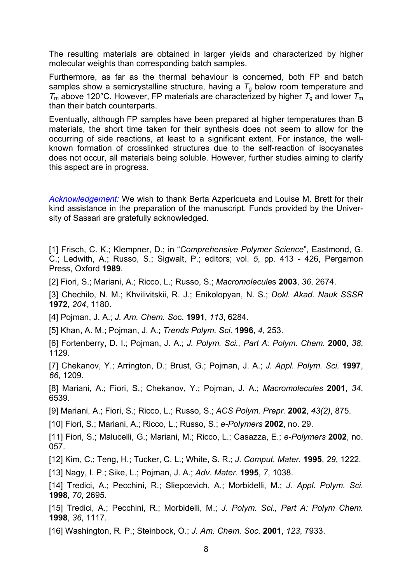The resulting materials are obtained in larger yields and characterized by higher molecular weights than corresponding batch samples.

Furthermore, as far as the thermal behaviour is concerned, both FP and batch samples show a semicrystalline structure, having a  $T<sub>q</sub>$  below room temperature and  $T<sub>m</sub>$  above 120°C. However, FP materials are characterized by higher  $T<sub>q</sub>$  and lower  $T<sub>m</sub>$ than their batch counterparts.

Eventually, although FP samples have been prepared at higher temperatures than B materials, the short time taken for their synthesis does not seem to allow for the occurring of side reactions, at least to a significant extent. For instance, the wellknown formation of crosslinked structures due to the self-reaction of isocyanates does not occur, all materials being soluble. However, further studies aiming to clarify this aspect are in progress.

*Acknowledgement:* We wish to thank Berta Azpericueta and Louise M. Brett for their kind assistance in the preparation of the manuscript. Funds provided by the University of Sassari are gratefully acknowledged.

[1] Frisch, C. K.; Klempner, D.; in "*Comprehensive Polymer Science*", Eastmond, G. C.; Ledwith, A.; Russo, S.; Sigwalt, P.; editors; vol. *5*, pp. 413 - 426, Pergamon Press, Oxford **1989**.

[2] Fiori, S.; Mariani, A.; Ricco, L.; Russo, S.; *Macromolecule*s **2003**, *36*, 2674.

[3] Chechilo, N. M.; Khvilivitskii, R. J.; Enikolopyan, N. S.; *Dokl. Akad. Nauk SSSR*  **1972**, *204*, 1180.

[4] Pojman, J. A.; *J. Am. Chem. So*c. **1991**, *113*, 6284.

[5] Khan, A. M.; Pojman, J. A.; *Trends Polym. Sci.* **1996**, *4*, 253.

[6] Fortenberry, D. I.; Pojman, J. A.; *J. Polym. Sci., Part A: Polym. Chem.* **2000**, *38*, 1129.

[7] Chekanov, Y.; Arrington, D.; Brust, G.; Pojman, J. A.; *J. Appl. Polym. Sci.* **1997**, *66*, 1209.

[8] Mariani, A.; Fiori, S.; Chekanov, Y.; Pojman, J. A.; *Macromolecules* **2001**, *34*, 6539.

[9] Mariani, A.; Fiori, S.; Ricco, L.; Russo, S.; *ACS Polym. Prepr.* **2002**, *43(2)*, 875.

[10] Fiori, S.; Mariani, A.; Ricco, L.; Russo, S.; *e-Polymers* **2002**, no. 29.

[11] Fiori, S.; Malucelli, G.; Mariani, M.; Ricco, L.; Casazza, E.; *e-Polymers* **2002**, no. 057.

[12] Kim, C.; Teng, H.; Tucker, C. L.; White, S. R.; *J. Comput. Mater.* **1995**, *29*, 1222.

[13] Nagy, I. P.; Sike, L.; Pojman, J. A.; *Adv. Mater.* **1995**, *7*, 1038.

[14] Tredici, A.; Pecchini, R.; Sliepcevich, A.; Morbidelli, M.; *J. Appl. Polym. Sci.*  **1998**, *70*, 2695.

[15] Tredici, A.; Pecchini, R.; Morbidelli, M.; *J. Polym. Sci., Part A: Polym Chem.*  **1998**, *36*, 1117.

[16] Washington, R. P.; Steinbock, O.; *J. Am. Chem. Soc.* **2001**, *123*, 7933.